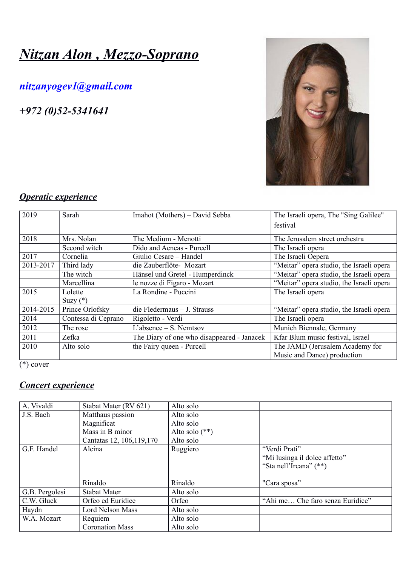# *Nitzan Alon , Mezzo-Soprano*

# *[nitzanyogev1@gmail.com](mailto:nitzanyogev1@gmail.com)*

*+972 (0)52-5341641*



# *Operatic experience*

| 2019      | Sarah               | Imahot (Mothers) – David Sebba             | The Israeli opera, The "Sing Galilee"    |
|-----------|---------------------|--------------------------------------------|------------------------------------------|
|           |                     |                                            | festival                                 |
| 2018      | Mrs. Nolan          | The Medium - Menotti                       | The Jerusalem street orchestra           |
|           | Second witch        | Dido and Aeneas - Purcell                  | The Israeli opera                        |
| 2017      | Cornelia            | Giulio Cesare – Handel                     | The Israeli Oepera                       |
| 2013-2017 | Third lady          | die Zauberflöte-Mozart                     | "Meitar" opera studio, the Israeli opera |
|           | The witch           | Hänsel und Gretel - Humperdinck            | "Meitar" opera studio, the Israeli opera |
|           | Marcellina          | le nozze di Figaro - Mozart                | "Meitar" opera studio, the Israeli opera |
| 2015      | Lolette             | La Rondine - Puccini                       | The Israeli opera                        |
|           | Suzy $(*)$          |                                            |                                          |
| 2014-2015 | Prince Orlofsky     | $die Fledermaus - J. Strauss$              | "Meitar" opera studio, the Israeli opera |
| 2014      | Contessa di Ceprano | Rigoletto - Verdi                          | The Israeli opera                        |
| 2012      | The rose            | $L$ 'absence – S. Nemtsov                  | Munich Biennale, Germany                 |
| 2011      | Zefka               | The Diary of one who disappeared - Janacek | Kfar Blum music festival, Israel         |
| 2010      | Alto solo           | the Fairy queen - Purcell                  | The JAMD (Jerusalem Academy for          |
|           |                     |                                            | Music and Dance) production              |

 $\sqrt{*}$ ) cover

## *Concert experience*

| A. Vivaldi     | Stabat Mater (RV 621)      | Alto solo        |                                  |
|----------------|----------------------------|------------------|----------------------------------|
| J.S. Bach      | Matthaus passion           | Alto solo        |                                  |
|                | Magnificat                 | Alto solo        |                                  |
|                | Mass in B minor            | Alto solo $(**)$ |                                  |
|                | Cantatas 12, 106, 119, 170 | Alto solo        |                                  |
| G.F. Handel    | Alcina                     | Ruggiero         | "Verdi Prati"                    |
|                |                            |                  | "Mi lusinga il dolce affetto"    |
|                |                            |                  | "Sta nell'Ircana" (**)           |
|                |                            |                  |                                  |
|                | Rinaldo                    | Rinaldo          | "Cara sposa"                     |
| G.B. Pergolesi | <b>Stabat Mater</b>        | Alto solo        |                                  |
| C.W. Gluck     | Orfeo ed Euridice          | Orfeo            | "Ahi me Che faro senza Euridice" |
| Haydn          | <b>Lord Nelson Mass</b>    | Alto solo        |                                  |
| W.A. Mozart    | Requiem                    | Alto solo        |                                  |
|                | <b>Coronation Mass</b>     | Alto solo        |                                  |